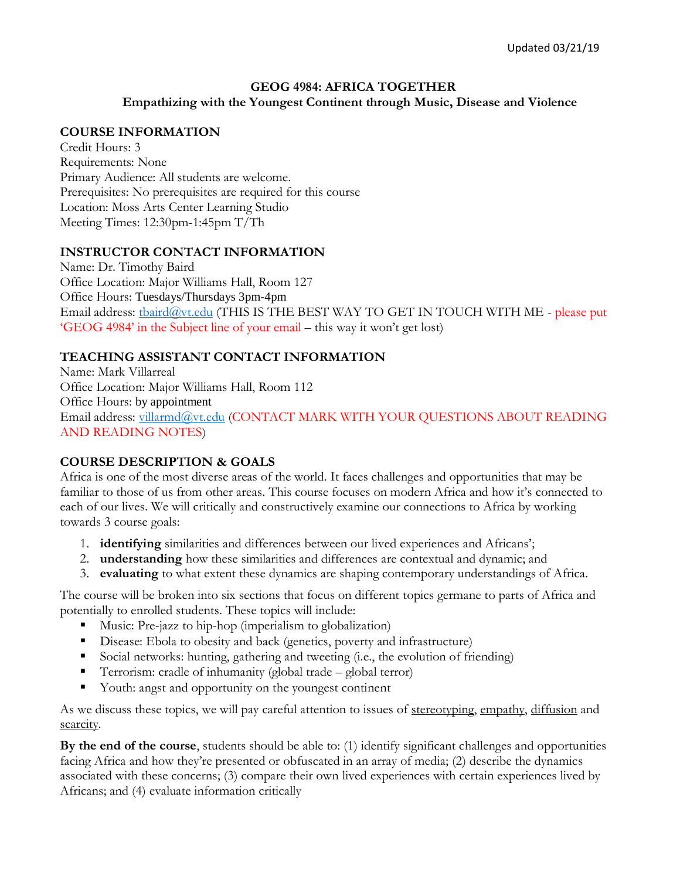## **GEOG 4984: AFRICA TOGETHER**

**Empathizing with the Youngest Continent through Music, Disease and Violence**

#### **COURSE INFORMATION**

Credit Hours: 3 Requirements: None Primary Audience: All students are welcome. Prerequisites: No prerequisites are required for this course Location: Moss Arts Center Learning Studio Meeting Times: 12:30pm-1:45pm T/Th

#### **INSTRUCTOR CONTACT INFORMATION**

Name: Dr. Timothy Baird Office Location: Major Williams Hall, Room 127 Office Hours: Tuesdays/Thursdays 3pm-4pm Email address: [tbaird@vt.edu](mailto:tbaird@vt.edu) (THIS IS THE BEST WAY TO GET IN TOUCH WITH ME - please put 'GEOG 4984' in the Subject line of your email – this way it won't get lost)

### **TEACHING ASSISTANT CONTACT INFORMATION**

Name: Mark Villarreal Office Location: Major Williams Hall, Room 112 Office Hours: by appointment Email address: [villarmd@vt.edu](mailto:villarmd@vt.edu) (CONTACT MARK WITH YOUR QUESTIONS ABOUT READING AND READING NOTES)

#### **COURSE DESCRIPTION & GOALS**

Africa is one of the most diverse areas of the world. It faces challenges and opportunities that may be familiar to those of us from other areas. This course focuses on modern Africa and how it's connected to each of our lives. We will critically and constructively examine our connections to Africa by working towards 3 course goals:

- 1. **identifying** similarities and differences between our lived experiences and Africans';
- 2. **understanding** how these similarities and differences are contextual and dynamic; and
- 3. **evaluating** to what extent these dynamics are shaping contemporary understandings of Africa.

The course will be broken into six sections that focus on different topics germane to parts of Africa and potentially to enrolled students. These topics will include:

- Music: Pre-jazz to hip-hop (imperialism to globalization)
- Disease: Ebola to obesity and back (genetics, poverty and infrastructure)
- Social networks: hunting, gathering and tweeting (i.e., the evolution of friending)
- Terrorism: cradle of inhumanity (global trade global terror)
- Youth: angst and opportunity on the youngest continent

As we discuss these topics, we will pay careful attention to issues of <u>stereotyping, empathy, diffusion</u> and scarcity.

**By the end of the course**, students should be able to: (1) identify significant challenges and opportunities facing Africa and how they're presented or obfuscated in an array of media; (2) describe the dynamics associated with these concerns; (3) compare their own lived experiences with certain experiences lived by Africans; and (4) evaluate information critically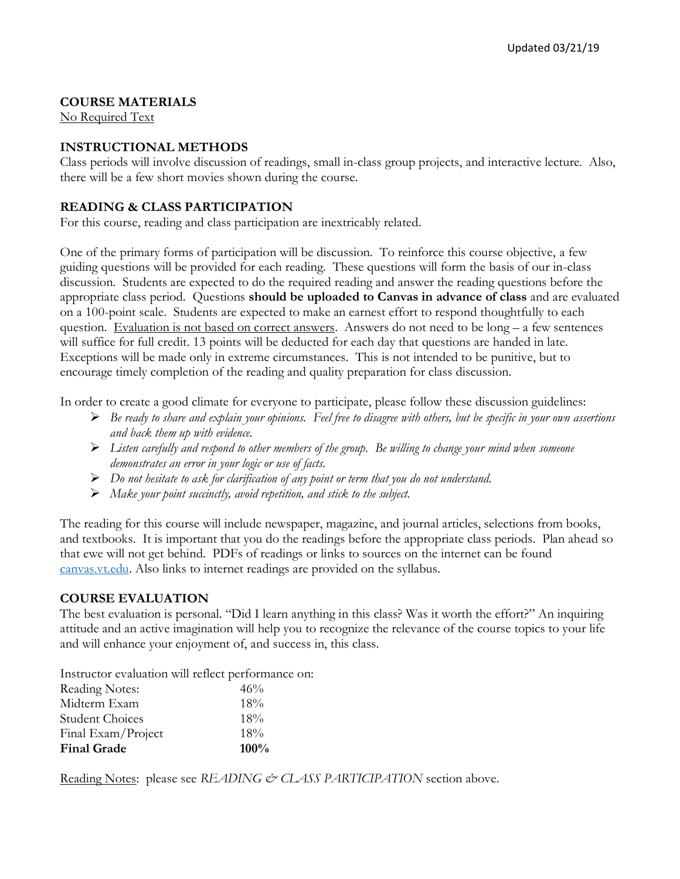## **COURSE MATERIALS**

No Required Text

## **INSTRUCTIONAL METHODS**

Class periods will involve discussion of readings, small in-class group projects, and interactive lecture. Also, there will be a few short movies shown during the course.

#### **READING & CLASS PARTICIPATION**

For this course, reading and class participation are inextricably related.

One of the primary forms of participation will be discussion. To reinforce this course objective, a few guiding questions will be provided for each reading. These questions will form the basis of our in-class discussion. Students are expected to do the required reading and answer the reading questions before the appropriate class period. Questions **should be uploaded to Canvas in advance of class** and are evaluated on a 100-point scale. Students are expected to make an earnest effort to respond thoughtfully to each question. Evaluation is not based on correct answers. Answers do not need to be long – a few sentences will suffice for full credit. 13 points will be deducted for each day that questions are handed in late. Exceptions will be made only in extreme circumstances. This is not intended to be punitive, but to encourage timely completion of the reading and quality preparation for class discussion.

In order to create a good climate for everyone to participate, please follow these discussion guidelines:

- ➢ *Be ready to share and explain your opinions. Feel free to disagree with others, but be specific in your own assertions and back them up with evidence.*
- ➢ *Listen carefully and respond to other members of the group. Be willing to change your mind when someone demonstrates an error in your logic or use of facts.*
- ➢ *Do not hesitate to ask for clarification of any point or term that you do not understand.*
- ➢ *Make your point succinctly, avoid repetition, and stick to the subject.*

The reading for this course will include newspaper, magazine, and journal articles, selections from books, and textbooks. It is important that you do the readings before the appropriate class periods. Plan ahead so that ewe will not get behind. PDFs of readings or links to sources on the internet can be found [canvas.vt.edu.](http://canvas.vt.edu/) Also links to internet readings are provided on the syllabus.

#### **COURSE EVALUATION**

The best evaluation is personal. "Did I learn anything in this class? Was it worth the effort?" An inquiring attitude and an active imagination will help you to recognize the relevance of the course topics to your life and will enhance your enjoyment of, and success in, this class.

Instructor evaluation will reflect performance on:

| Reading Notes:         | 46%     |
|------------------------|---------|
| Midterm Exam           | $18\%$  |
| <b>Student Choices</b> | 18%     |
| Final Exam/Project     | $18\%$  |
| <b>Final Grade</b>     | $100\%$ |

Reading Notes: please see *READING & CLASS PARTICIPATION* section above.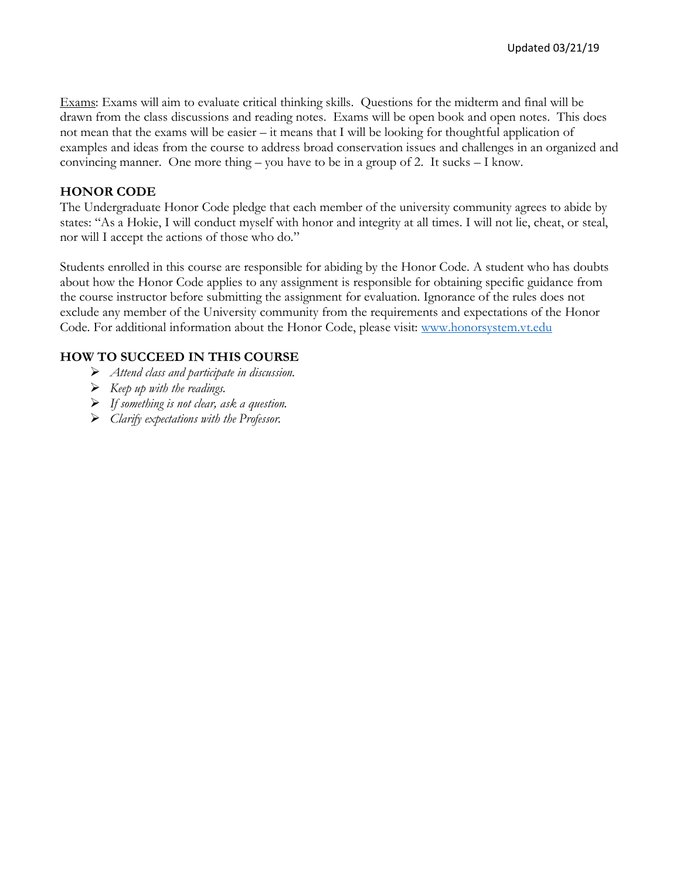Exams: Exams will aim to evaluate critical thinking skills. Questions for the midterm and final will be drawn from the class discussions and reading notes. Exams will be open book and open notes. This does not mean that the exams will be easier – it means that I will be looking for thoughtful application of examples and ideas from the course to address broad conservation issues and challenges in an organized and convincing manner. One more thing – you have to be in a group of 2. It sucks – I know.

### **HONOR CODE**

The Undergraduate Honor Code pledge that each member of the university community agrees to abide by states: "As a Hokie, I will conduct myself with honor and integrity at all times. I will not lie, cheat, or steal, nor will I accept the actions of those who do."

Students enrolled in this course are responsible for abiding by the Honor Code. A student who has doubts about how the Honor Code applies to any assignment is responsible for obtaining specific guidance from the course instructor before submitting the assignment for evaluation. Ignorance of the rules does not exclude any member of the University community from the requirements and expectations of the Honor Code. For additional information about the Honor Code, please visit: [www.honorsystem.vt.edu](http://www.honorsystem.vt.edu/)

## **HOW TO SUCCEED IN THIS COURSE**

- ➢ *Attend class and participate in discussion.*
- ➢ *Keep up with the readings.*
- ➢ *If something is not clear, ask a question.*
- ➢ *Clarify expectations with the Professor.*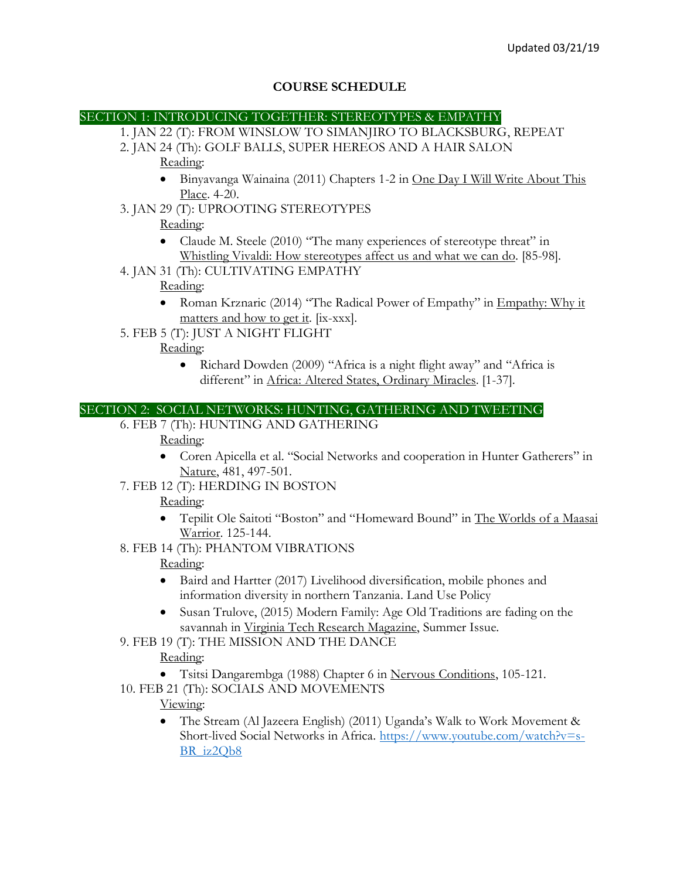### **COURSE SCHEDULE**

#### SECTION 1: INTRODUCING TOGETHER: STEREOTYPES & EMPATHY

- 1. JAN 22 (T): FROM WINSLOW TO SIMANJIRO TO BLACKSBURG, REPEAT
- 2. JAN 24 (Th): GOLF BALLS, SUPER HEREOS AND A HAIR SALON Reading:
	- Binyavanga Wainaina (2011) Chapters 1-2 in One Day I Will Write About This Place. 4-20.
- 3. JAN 29 (T): UPROOTING STEREOTYPES

# Reading:

- Claude M. Steele (2010) "The many experiences of stereotype threat" in Whistling Vivaldi: How stereotypes affect us and what we can do. [85-98].
- 4. JAN 31 (Th): CULTIVATING EMPATHY Reading:
	- Roman Krznaric (2014) "The Radical Power of Empathy" in Empathy: Why it matters and how to get it. [ix-xxx].
- 5. FEB 5 (T): JUST A NIGHT FLIGHT

### Reading:

• Richard Dowden (2009) "Africa is a night flight away" and "Africa is different" in Africa: Altered States, Ordinary Miracles. [1-37].

#### SECTION 2: SOCIAL NETWORKS: HUNTING, GATHERING AND TWEETING

6. FEB 7 (Th): HUNTING AND GATHERING

#### Reading:

- Coren Apicella et al. "Social Networks and cooperation in Hunter Gatherers" in Nature, 481, 497-501.
- 7. FEB 12 (T): HERDING IN BOSTON

## Reading:

- Tepilit Ole Saitoti "Boston" and "Homeward Bound" in The Worlds of a Maasai Warrior. 125-144.
- 8. FEB 14 (Th): PHANTOM VIBRATIONS

## Reading:

- Baird and Hartter (2017) Livelihood diversification, mobile phones and information diversity in northern Tanzania. Land Use Policy
- Susan Trulove, (2015) Modern Family: Age Old Traditions are fading on the savannah in Virginia Tech Research Magazine, Summer Issue.
- 9. FEB 19 (T): THE MISSION AND THE DANCE

## Reading:

- Tsitsi Dangarembga (1988) Chapter 6 in Nervous Conditions, 105-121.
- 10. FEB 21 (Th): SOCIALS AND MOVEMENTS

## Viewing:

• The Stream (Al Jazeera English) (2011) Uganda's Walk to Work Movement & Short-lived Social Networks in Africa. [https://www.youtube.com/watch?v=s-](https://www.youtube.com/watch?v=s-BR_iz2Qb8)[BR\\_iz2Qb8](https://www.youtube.com/watch?v=s-BR_iz2Qb8)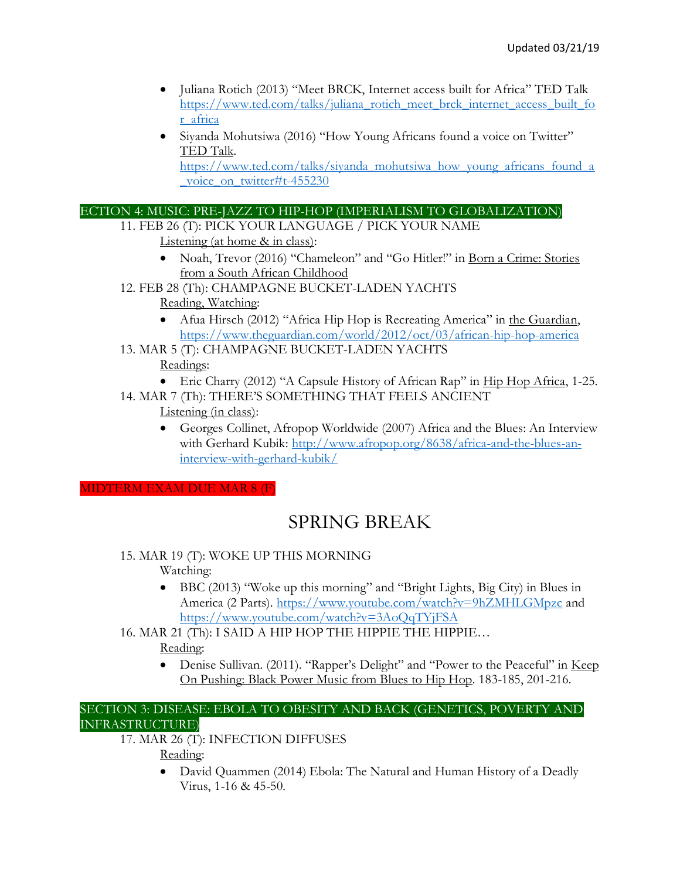- Juliana Rotich (2013) "Meet BRCK, Internet access built for Africa" TED Talk [https://www.ted.com/talks/juliana\\_rotich\\_meet\\_brck\\_internet\\_access\\_built\\_fo](https://www.ted.com/talks/juliana_rotich_meet_brck_internet_access_built_for_africa) [r\\_africa](https://www.ted.com/talks/juliana_rotich_meet_brck_internet_access_built_for_africa)
- Siyanda Mohutsiwa (2016) "How Young Africans found a voice on Twitter" TED Talk.

[https://www.ted.com/talks/siyanda\\_mohutsiwa\\_how\\_young\\_africans\\_found\\_a](https://www.ted.com/talks/siyanda_mohutsiwa_how_young_africans_found_a_voice_on_twitter#t-455230) voice on twitter#t-455230

## ECTION 4: MUSIC: PRE-JAZZ TO HIP-HOP (IMPERIALISM TO GLOBALIZATION)

- 11. FEB 26 (T): PICK YOUR LANGUAGE / PICK YOUR NAME Listening (at home & in class):
	- Noah, Trevor (2016) "Chameleon" and "Go Hitler!" in Born a Crime: Stories from a South African Childhood
- 12. FEB 28 (Th): CHAMPAGNE BUCKET-LADEN YACHTS Reading, Watching:
	- Afua Hirsch (2012) "Africa Hip Hop is Recreating America" in the Guardian, <https://www.theguardian.com/world/2012/oct/03/african-hip-hop-america>
- 13. MAR 5 (T): CHAMPAGNE BUCKET-LADEN YACHTS

## Readings:

- Eric Charry (2012) "A Capsule History of African Rap" in Hip Hop Africa, 1-25.
- 14. MAR 7 (Th): THERE'S SOMETHING THAT FEELS ANCIENT Listening (in class):
	- Georges Collinet, Afropop Worldwide (2007) Africa and the Blues: An Interview with Gerhard Kubik: [http://www.afropop.org/8638/africa-and-the-blues-an](http://www.afropop.org/8638/africa-and-the-blues-an-interview-with-gerhard-kubik/)[interview-with-gerhard-kubik/](http://www.afropop.org/8638/africa-and-the-blues-an-interview-with-gerhard-kubik/)

MIDTERM EXAM DUE MAR 8 (F)

# SPRING BREAK

- 15. MAR 19 (T): WOKE UP THIS MORNING Watching:
	- BBC (2013) "Woke up this morning" and "Bright Lights, Big City) in Blues in America (2 Parts).<https://www.youtube.com/watch?v=9hZMHLGMpzc> and <https://www.youtube.com/watch?v=3AoQqTYjFSA>
- 16. MAR 21 (Th): I SAID A HIP HOP THE HIPPIE THE HIPPIE…

Reading:

• Denise Sullivan. (2011). "Rapper's Delight" and "Power to the Peaceful" in <u>Keep</u> On Pushing: Black Power Music from Blues to Hip Hop. 183-185, 201-216.

#### SECTION 3: DISEASE: EBOLA TO OBESITY AND BACK (GENETICS, POVERTY AND INFRASTRUCTURE)

17. MAR 26 (T): INFECTION DIFFUSES Reading:

> • David Quammen (2014) Ebola: The Natural and Human History of a Deadly Virus, 1-16 & 45-50.